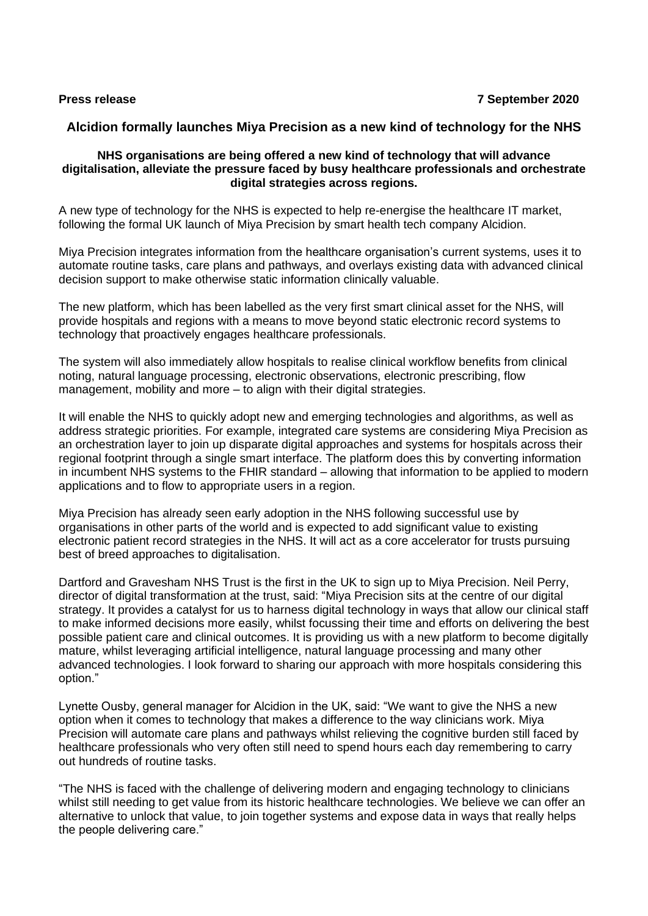# **Alcidion formally launches Miya Precision as a new kind of technology for the NHS**

## **NHS organisations are being offered a new kind of technology that will advance digitalisation, alleviate the pressure faced by busy healthcare professionals and orchestrate digital strategies across regions.**

A new type of technology for the NHS is expected to help re-energise the healthcare IT market, following the formal UK launch of Miya Precision by smart health tech company Alcidion.

Miya Precision integrates information from the healthcare organisation's current systems, uses it to automate routine tasks, care plans and pathways, and overlays existing data with advanced clinical decision support to make otherwise static information clinically valuable.

The new platform, which has been labelled as the very first smart clinical asset for the NHS, will provide hospitals and regions with a means to move beyond static electronic record systems to technology that proactively engages healthcare professionals.

The system will also immediately allow hospitals to realise clinical workflow benefits from clinical noting, natural language processing, electronic observations, electronic prescribing, flow management, mobility and more – to align with their digital strategies.

It will enable the NHS to quickly adopt new and emerging technologies and algorithms, as well as address strategic priorities. For example, integrated care systems are considering Miya Precision as an orchestration layer to join up disparate digital approaches and systems for hospitals across their regional footprint through a single smart interface. The platform does this by converting information in incumbent NHS systems to the FHIR standard – allowing that information to be applied to modern applications and to flow to appropriate users in a region.

Miya Precision has already seen early adoption in the NHS following successful use by organisations in other parts of the world and is expected to add significant value to existing electronic patient record strategies in the NHS. It will act as a core accelerator for trusts pursuing best of breed approaches to digitalisation.

Dartford and Gravesham NHS Trust is the first in the UK to sign up to Miya Precision. Neil Perry, director of digital transformation at the trust, said: "Miya Precision sits at the centre of our digital strategy. It provides a catalyst for us to harness digital technology in ways that allow our clinical staff to make informed decisions more easily, whilst focussing their time and efforts on delivering the best possible patient care and clinical outcomes. It is providing us with a new platform to become digitally mature, whilst leveraging artificial intelligence, natural language processing and many other advanced technologies. I look forward to sharing our approach with more hospitals considering this option."

Lynette Ousby, general manager for Alcidion in the UK, said: "We want to give the NHS a new option when it comes to technology that makes a difference to the way clinicians work. Miya Precision will automate care plans and pathways whilst relieving the cognitive burden still faced by healthcare professionals who very often still need to spend hours each day remembering to carry out hundreds of routine tasks.

"The NHS is faced with the challenge of delivering modern and engaging technology to clinicians whilst still needing to get value from its historic healthcare technologies. We believe we can offer an alternative to unlock that value, to join together systems and expose data in ways that really helps the people delivering care."